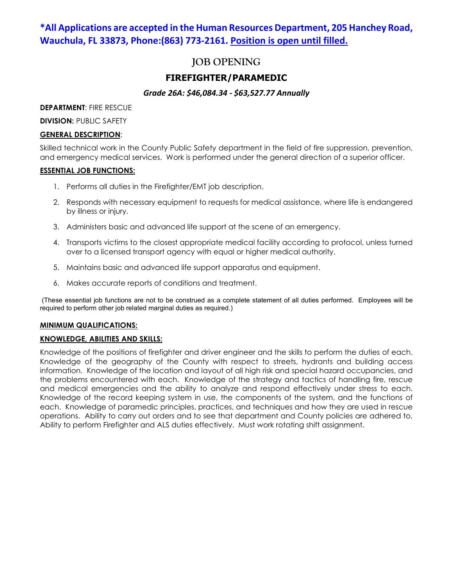# **\*All Applications are accepted in the Human Resources Department, 205 Hanchey Road, Wauchula, FL 33873, Phone:(863) 773-2161. Position is open until filled.**

# **JOB OPENING**

# **FIREFIGHTER/PARAMEDIC**

# *Grade 26A: \$46,084.34 - \$63,527.77 Annually*

**DEPARTMENT**: FIRE RESCUE

**DIVISION: PUBLIC SAFETY** 

#### **GENERAL DESCRIPTION**:

Skilled technical work in the County Public Safety department in the field of fire suppression, prevention, and emergency medical services. Work is performed under the general direction of a superior officer.

#### **ESSENTIAL JOB FUNCTIONS:**

- 1. Performs all duties in the Firefighter/EMT job description.
- 2. Responds with necessary equipment to requests for medical assistance, where life is endangered by illness or injury.
- 3. Administers basic and advanced life support at the scene of an emergency.
- 4. Transports victims to the closest appropriate medical facility according to protocol, unless turned over to a licensed transport agency with equal or higher medical authority.
- 5. Maintains basic and advanced life support apparatus and equipment.
- 6. Makes accurate reports of conditions and treatment.

(These essential job functions are not to be construed as a complete statement of all duties performed. Employees will be required to perform other job related marginal duties as required.)

## **MINIMUM QUALIFICATIONS:**

## **KNOWLEDGE, ABILITIES AND SKILLS:**

Knowledge of the positions of firefighter and driver engineer and the skills to perform the duties of each. Knowledge of the geography of the County with respect to streets, hydrants and building access information. Knowledge of the location and layout of all high risk and special hazard occupancies, and the problems encountered with each. Knowledge of the strategy and tactics of handling fire, rescue and medical emergencies and the ability to analyze and respond effectively under stress to each. Knowledge of the record keeping system in use, the components of the system, and the functions of each. Knowledge of paramedic principles, practices, and techniques and how they are used in rescue operations. Ability to carry out orders and to see that department and County policies are adhered to. Ability to perform Firefighter and ALS duties effectively. Must work rotating shift assignment.